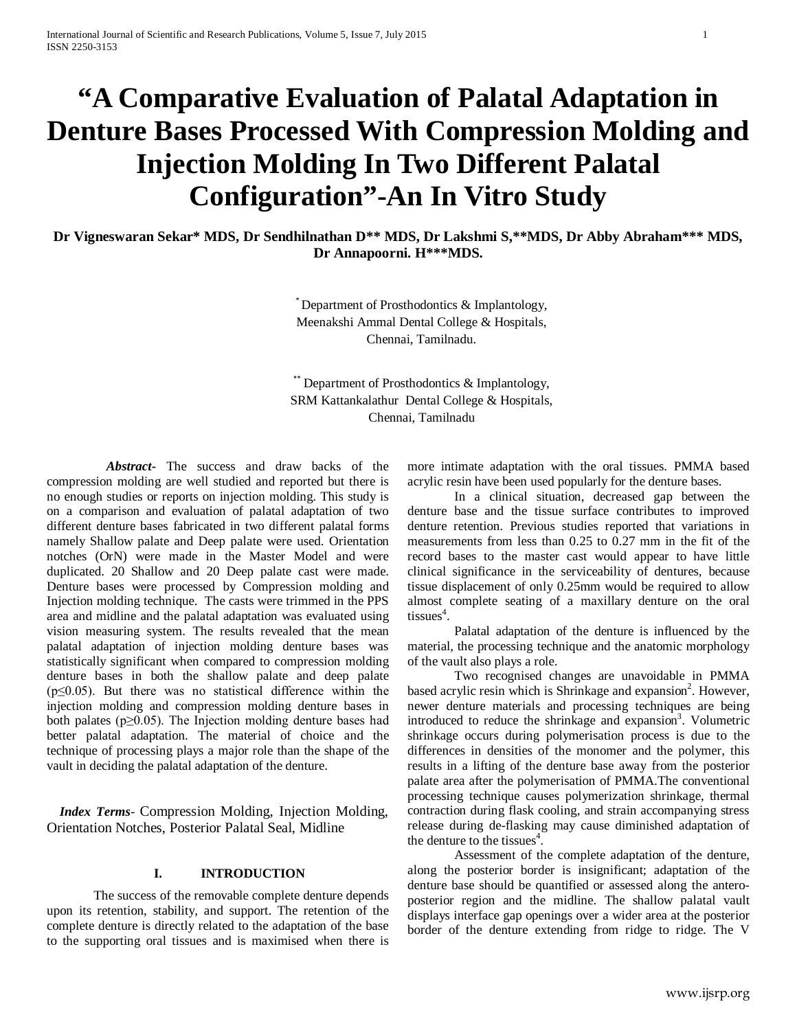# **"A Comparative Evaluation of Palatal Adaptation in Denture Bases Processed With Compression Molding and Injection Molding In Two Different Palatal Configuration"-An In Vitro Study**

**Dr Vigneswaran Sekar\* MDS, Dr Sendhilnathan D\*\* MDS, Dr Lakshmi S,\*\*MDS, Dr Abby Abraham\*\*\* MDS, Dr Annapoorni. H\*\*\*MDS.**

> \* Department of Prosthodontics & Implantology, Meenakshi Ammal Dental College & Hospitals, Chennai, Tamilnadu.

\*\* Department of Prosthodontics & Implantology, SRM Kattankalathur Dental College & Hospitals, Chennai, Tamilnadu

 *Abstract***-** The success and draw backs of the compression molding are well studied and reported but there is no enough studies or reports on injection molding. This study is on a comparison and evaluation of palatal adaptation of two different denture bases fabricated in two different palatal forms namely Shallow palate and Deep palate were used. Orientation notches (OrN) were made in the Master Model and were duplicated. 20 Shallow and 20 Deep palate cast were made. Denture bases were processed by Compression molding and Injection molding technique. The casts were trimmed in the PPS area and midline and the palatal adaptation was evaluated using vision measuring system. The results revealed that the mean palatal adaptation of injection molding denture bases was statistically significant when compared to compression molding denture bases in both the shallow palate and deep palate  $(p \le 0.05)$ . But there was no statistical difference within the injection molding and compression molding denture bases in both palates (p≥0.05). The Injection molding denture bases had better palatal adaptation. The material of choice and the technique of processing plays a major role than the shape of the vault in deciding the palatal adaptation of the denture.

 *Index Terms*- Compression Molding, Injection Molding, Orientation Notches, Posterior Palatal Seal, Midline

# **I. INTRODUCTION**

The success of the removable complete denture depends upon its retention, stability, and support. The retention of the complete denture is directly related to the adaptation of the base to the supporting oral tissues and is maximised when there is more intimate adaptation with the oral tissues. PMMA based acrylic resin have been used popularly for the denture bases.

In a clinical situation, decreased gap between the denture base and the tissue surface contributes to improved denture retention. Previous studies reported that variations in measurements from less than 0.25 to 0.27 mm in the fit of the record bases to the master cast would appear to have little clinical significance in the serviceability of dentures, because tissue displacement of only 0.25mm would be required to allow almost complete seating of a maxillary denture on the oral tissues<sup>4</sup>.

Palatal adaptation of the denture is influenced by the material, the processing technique and the anatomic morphology of the vault also plays a role.

Two recognised changes are unavoidable in PMMA based acrylic resin which is Shrinkage and expansion<sup>2</sup>. However, newer denture materials and processing techniques are being introduced to reduce the shrinkage and expansion<sup>3</sup>. Volumetric shrinkage occurs during polymerisation process is due to the differences in densities of the monomer and the polymer, this results in a lifting of the denture base away from the posterior palate area after the polymerisation of PMMA.The conventional processing technique causes polymerization shrinkage, thermal contraction during flask cooling, and strain accompanying stress release during de-flasking may cause diminished adaptation of the denture to the tissues<sup>4</sup>.

Assessment of the complete adaptation of the denture, along the posterior border is insignificant; adaptation of the denture base should be quantified or assessed along the anteroposterior region and the midline. The shallow palatal vault displays interface gap openings over a wider area at the posterior border of the denture extending from ridge to ridge. The V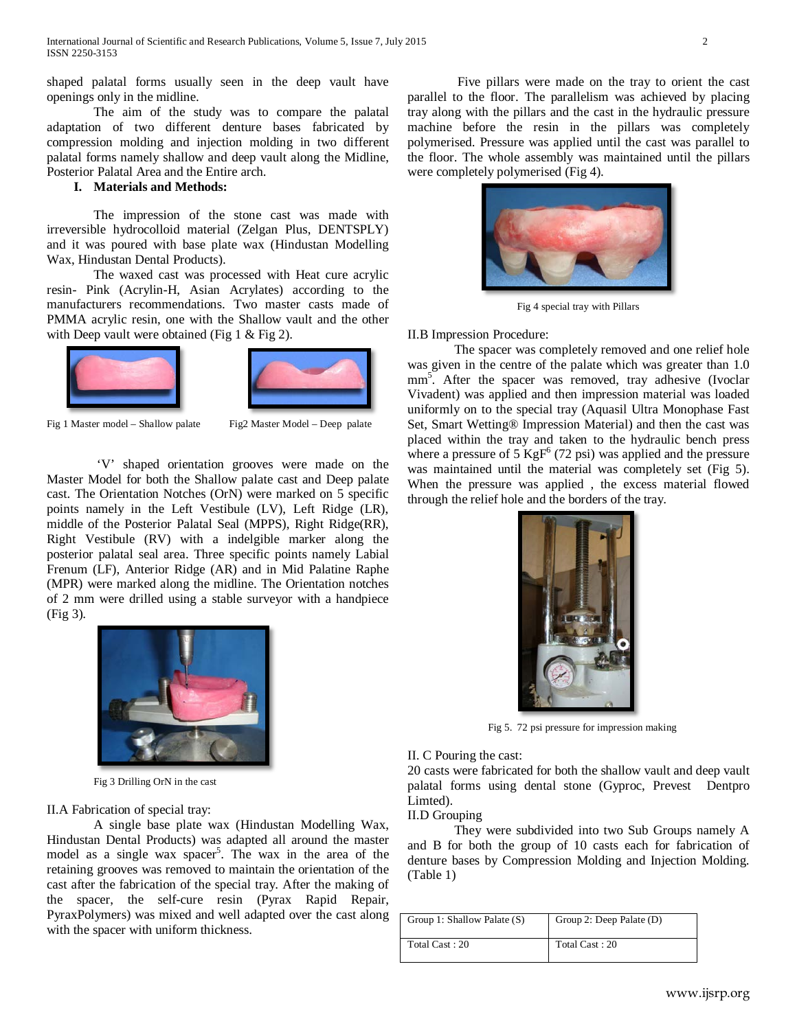shaped palatal forms usually seen in the deep vault have openings only in the midline.

The aim of the study was to compare the palatal adaptation of two different denture bases fabricated by compression molding and injection molding in two different palatal forms namely shallow and deep vault along the Midline, Posterior Palatal Area and the Entire arch.

# **I. Materials and Methods:**

The impression of the stone cast was made with irreversible hydrocolloid material (Zelgan Plus, DENTSPLY) and it was poured with base plate wax (Hindustan Modelling Wax, Hindustan Dental Products).

The waxed cast was processed with Heat cure acrylic resin- Pink (Acrylin-H, Asian Acrylates) according to the manufacturers recommendations. Two master casts made of PMMA acrylic resin, one with the Shallow vault and the other with Deep vault were obtained (Fig 1 & Fig 2).





Fig 1 Master model – Shallow palate Fig2 Master Model – Deep palate

'V' shaped orientation grooves were made on the Master Model for both the Shallow palate cast and Deep palate cast. The Orientation Notches (OrN) were marked on 5 specific points namely in the Left Vestibule (LV), Left Ridge (LR), middle of the Posterior Palatal Seal (MPPS), Right Ridge(RR), Right Vestibule (RV) with a indelgible marker along the posterior palatal seal area. Three specific points namely Labial Frenum (LF), Anterior Ridge (AR) and in Mid Palatine Raphe (MPR) were marked along the midline. The Orientation notches of 2 mm were drilled using a stable surveyor with a handpiece (Fig 3).



Fig 3 Drilling OrN in the cast

## II.A Fabrication of special tray:

A single base plate wax (Hindustan Modelling Wax, Hindustan Dental Products) was adapted all around the master model as a single wax spacer<sup>5</sup>. The wax in the area of the retaining grooves was removed to maintain the orientation of the cast after the fabrication of the special tray. After the making of the spacer, the self-cure resin (Pyrax Rapid Repair, PyraxPolymers) was mixed and well adapted over the cast along with the spacer with uniform thickness.

Five pillars were made on the tray to orient the cast parallel to the floor. The parallelism was achieved by placing tray along with the pillars and the cast in the hydraulic pressure machine before the resin in the pillars was completely polymerised. Pressure was applied until the cast was parallel to the floor. The whole assembly was maintained until the pillars were completely polymerised (Fig 4).



Fig 4 special tray with Pillars

#### II.B Impression Procedure:

The spacer was completely removed and one relief hole was given in the centre of the palate which was greater than 1.0 mm<sup>5</sup>. After the spacer was removed, tray adhesive (Ivoclar Vivadent) was applied and then impression material was loaded uniformly on to the special tray (Aquasil Ultra Monophase Fast Set, Smart Wetting® Impression Material) and then the cast was placed within the tray and taken to the hydraulic bench press where a pressure of 5 KgF $^6$  (72 psi) was applied and the pressure was maintained until the material was completely set (Fig 5). When the pressure was applied , the excess material flowed through the relief hole and the borders of the tray.



Fig 5. 72 psi pressure for impression making

#### II. C Pouring the cast:

20 casts were fabricated for both the shallow vault and deep vault palatal forms using dental stone (Gyproc, Prevest Dentpro Limted).

# II.D Grouping

They were subdivided into two Sub Groups namely A and B for both the group of 10 casts each for fabrication of denture bases by Compression Molding and Injection Molding. (Table 1)

| Group 1: Shallow Palate (S) | Group 2: Deep Palate (D) |
|-----------------------------|--------------------------|
| Total Cast: 20              | Total Cast: 20           |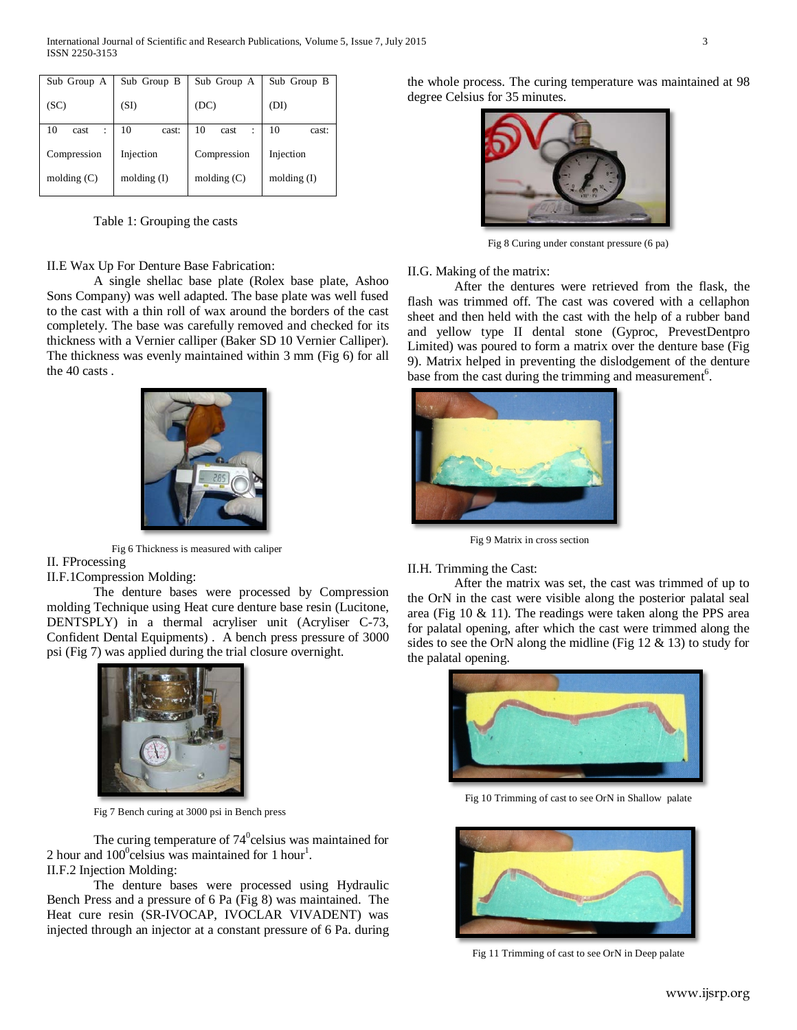| Sub Group A     | Sub Group B   | Sub Group A     | Sub Group B |  |  |
|-----------------|---------------|-----------------|-------------|--|--|
| (SC)            | (SI)          | (DC)            | (DI)        |  |  |
| 10<br>cast<br>÷ | 10<br>cast:   | 10<br>cast<br>÷ | 10<br>cast: |  |  |
| Compression     | Injection     | Compression     | Injection   |  |  |
| molding $(C)$   | molding $(I)$ | molding $(C)$   | moding(I)   |  |  |

Table 1: Grouping the casts

II.E Wax Up For Denture Base Fabrication:

A single shellac base plate (Rolex base plate, Ashoo Sons Company) was well adapted. The base plate was well fused to the cast with a thin roll of wax around the borders of the cast completely. The base was carefully removed and checked for its thickness with a Vernier calliper (Baker SD 10 Vernier Calliper). The thickness was evenly maintained within 3 mm (Fig 6) for all the 40 casts .



 Fig 6 Thickness is measured with caliper II. FProcessing

# II.F.1Compression Molding:

The denture bases were processed by Compression molding Technique using Heat cure denture base resin (Lucitone, DENTSPLY) in a thermal acryliser unit (Acryliser C-73, Confident Dental Equipments) . A bench press pressure of 3000 psi (Fig 7) was applied during the trial closure overnight.



Fig 7 Bench curing at 3000 psi in Bench press

The curing temperature of  $74^0$ celsius was maintained for 2 hour and  $100^{\circ}$ celsius was maintained for 1 hour<sup>1</sup>. II.F.2 Injection Molding:

The denture bases were processed using Hydraulic Bench Press and a pressure of 6 Pa (Fig 8) was maintained. The Heat cure resin (SR-IVOCAP, IVOCLAR VIVADENT) was injected through an injector at a constant pressure of 6 Pa. during the whole process. The curing temperature was maintained at 98 degree Celsius for 35 minutes.



Fig 8 Curing under constant pressure (6 pa)

II.G. Making of the matrix:

After the dentures were retrieved from the flask, the flash was trimmed off. The cast was covered with a cellaphon sheet and then held with the cast with the help of a rubber band and yellow type II dental stone (Gyproc, PrevestDentpro Limited) was poured to form a matrix over the denture base (Fig 9). Matrix helped in preventing the dislodgement of the denture base from the cast during the trimming and measurement<sup>6</sup>.



Fig 9 Matrix in cross section

## II.H. Trimming the Cast:

After the matrix was set, the cast was trimmed of up to the OrN in the cast were visible along the posterior palatal seal area (Fig 10 & 11). The readings were taken along the PPS area for palatal opening, after which the cast were trimmed along the sides to see the OrN along the midline (Fig 12 & 13) to study for the palatal opening.



Fig 10 Trimming of cast to see OrN in Shallow palate



Fig 11 Trimming of cast to see OrN in Deep palate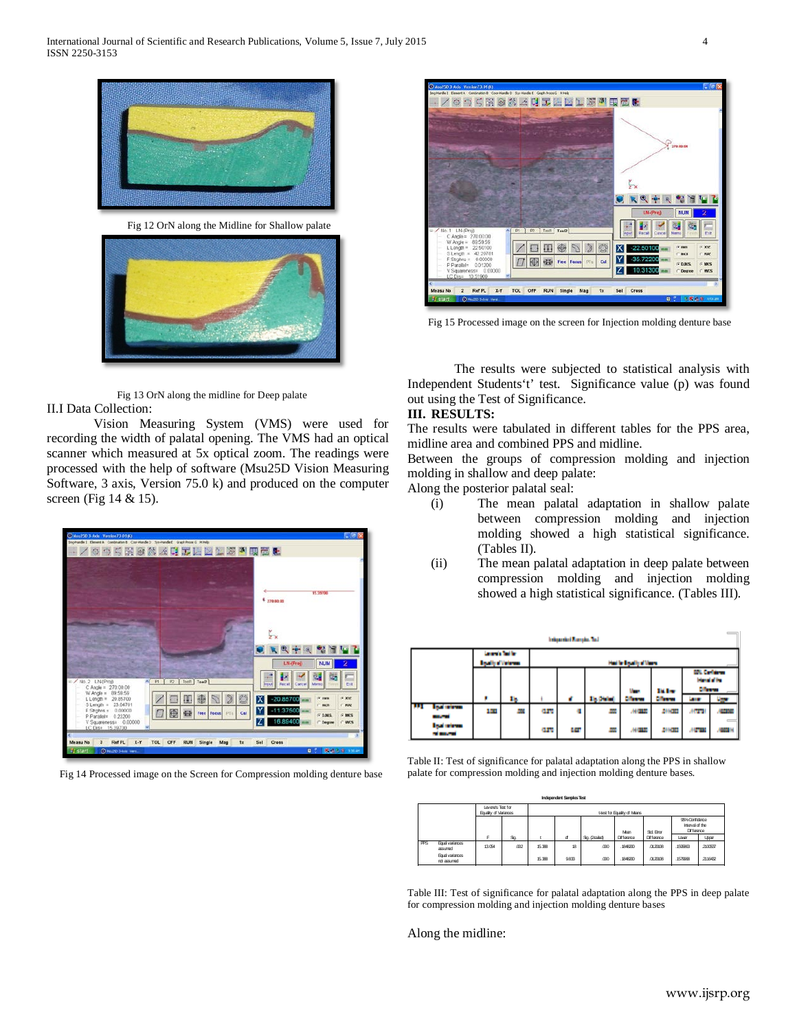

Fig 12 OrN along the Midline for Shallow palate



Fig 13 OrN along the midline for Deep palate II.I Data Collection:

Vision Measuring System (VMS) were used for recording the width of palatal opening. The VMS had an optical scanner which measured at 5x optical zoom. The readings were processed with the help of software (Msu25D Vision Measuring Software, 3 axis, Version 75.0 k) and produced on the computer screen (Fig 14 & 15).

| Mau 250 3-Axis Version 73.010G                                                                            | Claix                                                                     |
|-----------------------------------------------------------------------------------------------------------|---------------------------------------------------------------------------|
| Ingitiated Elevent & Continuition & Copy Handle D. Systemate E. Graph Proce G. Hitels                     |                                                                           |
| 9520434052213400                                                                                          |                                                                           |
|                                                                                                           |                                                                           |
|                                                                                                           |                                                                           |
|                                                                                                           |                                                                           |
|                                                                                                           |                                                                           |
|                                                                                                           | 15.29700                                                                  |
|                                                                                                           | <b>4</b> 270.00.00                                                        |
|                                                                                                           |                                                                           |
|                                                                                                           |                                                                           |
|                                                                                                           |                                                                           |
|                                                                                                           |                                                                           |
|                                                                                                           |                                                                           |
|                                                                                                           |                                                                           |
|                                                                                                           | <b>NUM</b><br>LM(Pro)                                                     |
|                                                                                                           |                                                                           |
| ×                                                                                                         |                                                                           |
| No. 2 LN-(Proj)<br>Tool1   Tool2<br>P1<br>$p_2$<br>C Angle = 270.00.00                                    | Est<br>Input<br>Recalt<br>El Cancel<br>Married                            |
| W Angle = 89.59.59                                                                                        | 6.897<br>$\sigma$ and                                                     |
| $\mathbb{C}$<br>H<br>L Length = 20.85700<br>S Length = 23.64701                                           | $-20.85700$<br>ΙXΙ<br>$F$ RAZ<br><b>C</b> anch                            |
| F Strohns = 0.00000<br>團<br>靈<br>Cal<br>Free Focus PTs                                                    | $-11.37500$<br>Y                                                          |
| P Parallel= 0.23200<br>V Squareness= 0.00000                                                              | <b>FDMS</b><br>G MCS<br>16.89400<br>z<br><b>C</b> Degrive<br><b>C WCS</b> |
| LC Dise 15 39700                                                                                          |                                                                           |
|                                                                                                           |                                                                           |
| Ref PL<br>$X - Y$<br>TOL<br>OFF<br>asu No<br>$\overline{\mathbf{3}}$<br><b>RUN</b><br>Single<br>1x<br>Mag | <b>Cross</b><br>Sel                                                       |
| start<br>O MUZIO SAIN VIEW.                                                                               | ■通过每一次以<br><b>RE 27</b>                                                   |

Fig 14 Processed image on the Screen for Compression molding denture base



Fig 15 Processed image on the screen for Injection molding denture base

The results were subjected to statistical analysis with Independent Students't' test. Significance value (p) was found out using the Test of Significance.

# **III. RESULTS:**

The results were tabulated in different tables for the PPS area, midline area and combined PPS and midline.

Between the groups of compression molding and injection molding in shallow and deep palate:

Along the posterior palatal seal:

- (i) The mean palatal adaptation in shallow palate between compression molding and injection molding showed a high statistical significance. (Tables II).
- (ii) The mean palatal adaptation in deep palate between compression molding and injection molding showed a high statistical significance. (Tables III).

|            |                                         |                                             |    |            | Integrated Europes, Inc. |                     |                         |                |                                                                  |                |  |
|------------|-----------------------------------------|---------------------------------------------|----|------------|--------------------------|---------------------|-------------------------|----------------|------------------------------------------------------------------|----------------|--|
|            |                                         | Leverin Test for<br><b>Booth of Veteran</b> |    |            |                          |                     | Had by Egypthy of Marco |                |                                                                  |                |  |
|            |                                         |                                             |    |            |                          |                     |                         | <b>Billy</b>   | <b>STL Carl Arms</b><br><b>Internal of the</b><br><b>Ciferra</b> |                |  |
|            |                                         | ٠                                           | 1b |            | ٠                        | <b>The District</b> | <b>Ciferra</b>          | <b>Ciferra</b> | <b>SAFE</b>                                                      |                |  |
| <b>THE</b> | <b>Book reference</b><br><b>BALLAST</b> | 133                                         |    | <b>art</b> |                          |                     | $-4000$                 | 2000           | 4022                                                             | <b>CONTROL</b> |  |
|            | <b>Isabelesse</b><br><b>STARTING</b>    |                                             |    | <b>art</b> | w                        |                     | 4000                    | 2002           | m                                                                | ▬              |  |

Table II: Test of significance for palatal adaptation along the PPS in shallow palate for compression molding and injection molding denture bases.

|            |                               |                                            |                              |        | Independent Samples Test |              |            |                 |                                                 |          |
|------------|-------------------------------|--------------------------------------------|------------------------------|--------|--------------------------|--------------|------------|-----------------|-------------------------------------------------|----------|
|            |                               | Levene's Test for<br>Equality of Variances | t-test for Equality of Maans |        |                          |              |            |                 |                                                 |          |
|            |                               |                                            |                              |        |                          |              | Man        | <b>Sd Front</b> | 98% Confidence<br>Interval of the<br>Difference |          |
|            |                               | F                                          | Sq.                          |        | đ                        | Sq. (2taied) | Difference | Difference      | Lover                                           | Upper    |
| <b>PPS</b> | Equal variances<br>assumed    | 13.054                                     | .com                         | 15.388 | 18                       | m            | 18482m     | 012008          | 159963                                          | .2100537 |
|            | Equal variances<br>nd assumed |                                            |                              | 15.398 | 9.833                    | .000         | .1848200   | .0120108        | .157968                                         | .2116432 |

Table III: Test of significance for palatal adaptation along the PPS in deep palate for compression molding and injection molding denture bases

Along the midline: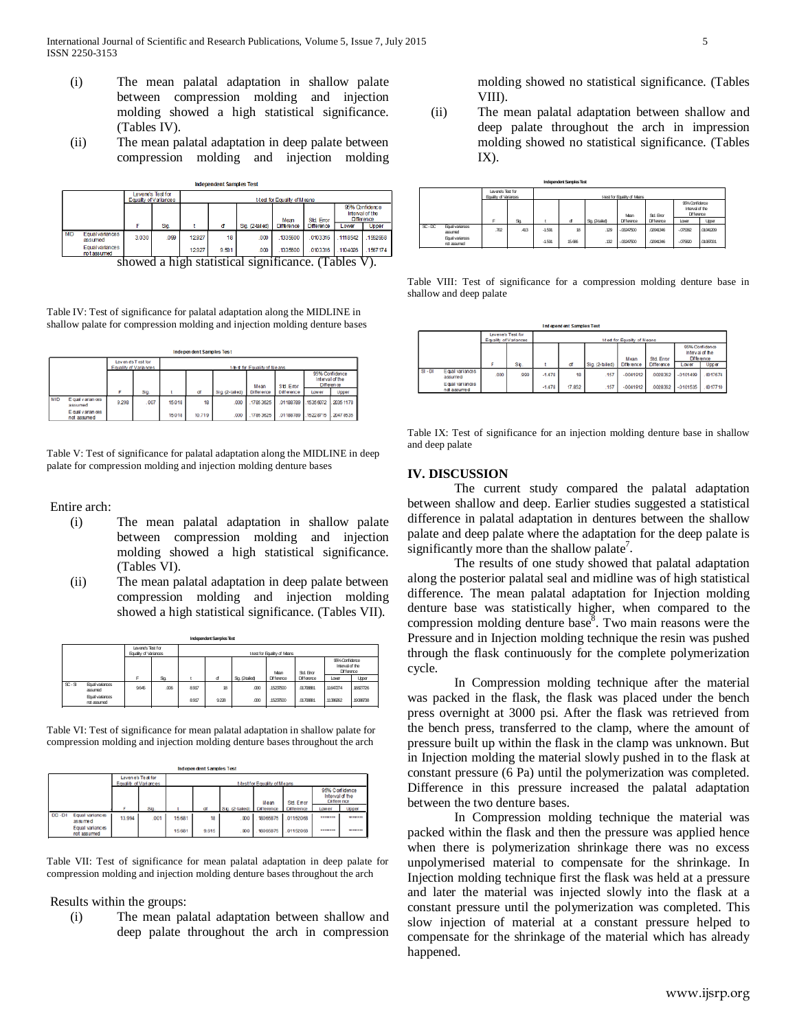- (i) The mean palatal adaptation in shallow palate between compression molding and injection molding showed a high statistical significance. (Tables IV).
- (ii) The mean palatal adaptation in deep palate between compression molding and injection molding

|            |                                |        | Levene's Test for<br>Equality of Variances |       | t-test for Equality of Means |                 |                     |                   |         |                                                 |
|------------|--------------------------------|--------|--------------------------------------------|-------|------------------------------|-----------------|---------------------|-------------------|---------|-------------------------------------------------|
|            |                                |        |                                            |       |                              |                 | Mean                | <b>Std Error</b>  |         | 95% Confidence<br>Interval of the<br>Difference |
|            |                                |        | <b>Sig</b>                                 |       | đ                            | Sig. (2-tailed) | Difference          | <b>Difference</b> | Lower   | Upper                                           |
| <b>MID</b> | Equal variances<br>assumed     | 3.030  | .099                                       | 12927 | 18                           | .000            | 1335600             | 0103316           | 1118542 | 1552658                                         |
|            | Equal variances<br>not assumed |        |                                            | 12927 | 9.581                        | .000            | 1335600             | 0103316           | 1104026 | 1567174                                         |
|            |                                | chowad | ച                                          | etoti | ct1CO                        |                 | <u>cianiticance</u> |                   | l'ablac |                                                 |

Independent Samples Test

showed a high statistical significance. (Tables V).

Table IV: Test of significance for palatal adaptation along the MIDLINE in shallow palate for compression molding and injection molding denture bases

|     |                                  |       |                                             |        | <b>Independent Samples Test</b> |                |                               |                   |                                                 |           |
|-----|----------------------------------|-------|---------------------------------------------|--------|---------------------------------|----------------|-------------------------------|-------------------|-------------------------------------------------|-----------|
|     |                                  |       | Leven es T est for<br>Equality of Variances |        |                                 |                | t-that for Equality of Melans |                   |                                                 |           |
|     |                                  |       |                                             |        |                                 |                | Mean                          | Std. Emor         | 95% Confidence<br>Interval of the<br>Difference |           |
|     |                                  | F     | Sig.                                        | ٠      | ď                               | Sig. (2-taled) | Difference                    | <b>Difference</b> | Lower                                           | Upper     |
| MID | E qual v arian ces<br>assumed    | 9,298 | .007                                        | 15,018 | 18                              | .000           | 17853625                      | 01188789          | 1535 6072                                       | 2035 1178 |
|     | E qual varian ces<br>not assumed |       |                                             | 15.018 | 10.719                          | .000           | 1785 3625                     | 01188789          | 15228715                                        | 2047 8535 |

Table V: Test of significance for palatal adaptation along the MIDLINE in deep palate for compression molding and injection molding denture bases

Entire arch:

- (i) The mean palatal adaptation in shallow palate between compression molding and injection molding showed a high statistical significance. (Tables VI).
- (ii) The mean palatal adaptation in deep palate between compression molding and injection molding showed a high statistical significance. (Tables VII).

|                           |                                |                                            |      |                                                                                    | <b>Independent Samples Test</b> |               |                              |                   |          |              |
|---------------------------|--------------------------------|--------------------------------------------|------|------------------------------------------------------------------------------------|---------------------------------|---------------|------------------------------|-------------------|----------|--------------|
|                           |                                | Levene's Test for<br>Equality of Variances |      |                                                                                    |                                 |               | t-test for Equality of Maans |                   |          |              |
|                           |                                |                                            |      | 96% Confidence<br>Interval of the<br><b>Difference</b><br><b>Std. Error</b><br>Man |                                 |               |                              |                   |          |              |
|                           |                                | F                                          | Sq   |                                                                                    | ď                               | Sq. (2tailed) | <b>Difference</b>            | <b>Difference</b> | Lover    | <b>Upper</b> |
| $\overline{\text{SC-ST}}$ | Equal variances<br>assumed     | 9645                                       | .006 | 8917                                                                               | 18                              | .000          | 15237500                     | .0170881          | 1160774  | .18827726    |
|                           | Equal variances<br>not assumed |                                            |      | 8917                                                                               | 9228                            | .000          | 15237500                     | .0170881          | .1136262 | .19088738    |
|                           |                                |                                            |      |                                                                                    |                                 |               |                              |                   |          |              |

Table VI: Test of significance for mean palatal adaptation in shallow palate for compression molding and injection molding denture bases throughout the arch

|           |                                                              |                       |                   |                  | Independent Samples Test |                   |                                     |                                 |                                                          |                  |
|-----------|--------------------------------------------------------------|-----------------------|-------------------|------------------|--------------------------|-------------------|-------------------------------------|---------------------------------|----------------------------------------------------------|------------------|
|           |                                                              | Equality of Variances | Levene's Test for |                  |                          |                   | <b>t-test for Equality of Means</b> |                                 |                                                          |                  |
|           |                                                              |                       | Sig               |                  |                          | Sig. (2-tated)    | Mean<br><b>Difference</b>           | Std. Error<br><b>Difference</b> | 95% Confidence<br>Interval of the<br>Difference<br>Lower | Upper            |
| $DC - DI$ | Equal variances<br>assumed<br>Equal variances<br>not assumed | 13.994                | 001               | 15,681<br>15,681 | 18<br>9.615              | 000<br><b>COD</b> | 18065875<br>18065875                | 01152068<br>01152068            | -------<br>*******                                       | ------<br>------ |

Table VII: Test of significance for mean palatal adaptation in deep palate for compression molding and injection molding denture bases throughout the arch

Results within the groups:

(i) The mean palatal adaptation between shallow and deep palate throughout the arch in compression molding showed no statistical significance. (Tables VIII).

(ii) The mean palatal adaptation between shallow and deep palate throughout the arch in impression molding showed no statistical significance. (Tables IX).

|         |                                |                                            |     |          | <b>Independent Samples Test</b> |               |                              |                   |                                                        |           |
|---------|--------------------------------|--------------------------------------------|-----|----------|---------------------------------|---------------|------------------------------|-------------------|--------------------------------------------------------|-----------|
|         |                                | Levene's Test for<br>Equality of Variances |     |          |                                 |               | t-test for Equality of Maans |                   |                                                        |           |
|         |                                |                                            |     |          |                                 |               | Man                          | <b>Std Error</b>  | 96% Confidence<br>Interval of the<br><b>Difference</b> |           |
|         |                                | F                                          | Sq. |          | ď                               | Sq. (2tailed) | Difference                   | <b>Difference</b> | Lover                                                  | Upper     |
| $SC-DC$ | Equal variances<br>assumed     | .702                                       | 413 | $-1.591$ | 18                              | .129          | $-03247500$                  | 02041346          | $-075362$                                              | .01041209 |
|         | Equal variances<br>not assumed |                                            |     | $-1.591$ | 15,696                          | .132          | $-0347500$                   | 0201316           | $-075820$                                              | .01087001 |

Table VIII: Test of significance for a compression molding denture base in shallow and deep palate

|           |                               |                       |                   |          | Independent Samples Test     |                 |            |                   |                                      |                |
|-----------|-------------------------------|-----------------------|-------------------|----------|------------------------------|-----------------|------------|-------------------|--------------------------------------|----------------|
|           |                               | Equality of Variances | Levene's Test for |          | 1-test for Equality of Means |                 |            |                   |                                      |                |
|           |                               |                       |                   |          |                              |                 | Mean       | Std. Frron        | interval of the<br><b>Difference</b> | 95% Confidence |
|           |                               | F                     | Sig.              |          | ď                            | Sig. (2-tailed) | Difference | <b>Difference</b> | Lower                                | Upp er         |
| $SI - DI$ | Equal variances<br>assumed    | 000                   | .999              | $-1.478$ | 18                           | .157            | $-0041912$ | 0028362           | $-0101499$                           | 0017674        |
|           | Equal variances<br>nd assumed |                       |                   | $-1.478$ | 17.852                       | 157             | $-0041912$ | 0028362           | $-0101535$                           | 0017710        |

Table IX: Test of significance for an injection molding denture base in shallow and deep palate

### **IV. DISCUSSION**

The current study compared the palatal adaptation between shallow and deep. Earlier studies suggested a statistical difference in palatal adaptation in dentures between the shallow palate and deep palate where the adaptation for the deep palate is significantly more than the shallow palate<sup>7</sup>.

The results of one study showed that palatal adaptation along the posterior palatal seal and midline was of high statistical difference. The mean palatal adaptation for Injection molding denture base was statistically higher, when compared to the compression molding denture base<sup>8</sup>. Two main reasons were the Pressure and in Injection molding technique the resin was pushed through the flask continuously for the complete polymerization cycle.

In Compression molding technique after the material was packed in the flask, the flask was placed under the bench press overnight at 3000 psi. After the flask was retrieved from the bench press, transferred to the clamp, where the amount of pressure built up within the flask in the clamp was unknown. But in Injection molding the material slowly pushed in to the flask at constant pressure (6 Pa) until the polymerization was completed. Difference in this pressure increased the palatal adaptation between the two denture bases.

In Compression molding technique the material was packed within the flask and then the pressure was applied hence when there is polymerization shrinkage there was no excess unpolymerised material to compensate for the shrinkage. In Injection molding technique first the flask was held at a pressure and later the material was injected slowly into the flask at a constant pressure until the polymerization was completed. This slow injection of material at a constant pressure helped to compensate for the shrinkage of the material which has already happened.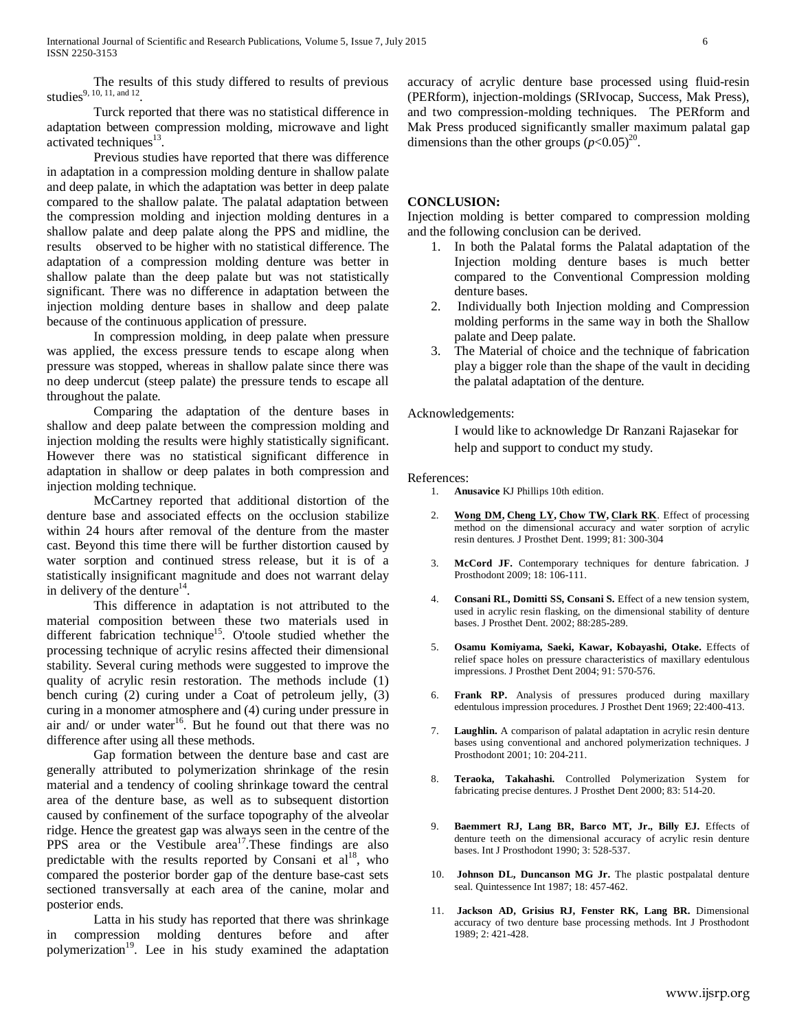The results of this study differed to results of previous studies<sup>9, 10, 11, and 12</sup>

Turck reported that there was no statistical difference in adaptation between compression molding, microwave and light activated techniques<sup>13</sup>.

Previous studies have reported that there was difference in adaptation in a compression molding denture in shallow palate and deep palate, in which the adaptation was better in deep palate compared to the shallow palate. The palatal adaptation between the compression molding and injection molding dentures in a shallow palate and deep palate along the PPS and midline, the results observed to be higher with no statistical difference. The adaptation of a compression molding denture was better in shallow palate than the deep palate but was not statistically significant. There was no difference in adaptation between the injection molding denture bases in shallow and deep palate because of the continuous application of pressure.

In compression molding, in deep palate when pressure was applied, the excess pressure tends to escape along when pressure was stopped, whereas in shallow palate since there was no deep undercut (steep palate) the pressure tends to escape all throughout the palate.

Comparing the adaptation of the denture bases in shallow and deep palate between the compression molding and injection molding the results were highly statistically significant. However there was no statistical significant difference in adaptation in shallow or deep palates in both compression and injection molding technique.

McCartney reported that additional distortion of the denture base and associated effects on the occlusion stabilize within 24 hours after removal of the denture from the master cast. Beyond this time there will be further distortion caused by water sorption and continued stress release, but it is of a statistically insignificant magnitude and does not warrant delay in delivery of the denture $^{14}$ .

This difference in adaptation is not attributed to the material composition between these two materials used in different fabrication technique<sup>15</sup>. O'toole studied whether the processing technique of acrylic resins affected their dimensional stability. Several curing methods were suggested to improve the quality of acrylic resin restoration. The methods include (1) bench curing (2) curing under a Coat of petroleum jelly, (3) curing in a monomer atmosphere and (4) curing under pressure in air and/ or under water<sup>16</sup>. But he found out that there was no difference after using all these methods.

Gap formation between the denture base and cast are generally attributed to polymerization shrinkage of the resin material and a tendency of cooling shrinkage toward the central area of the denture base, as well as to subsequent distortion caused by confinement of the surface topography of the alveolar ridge. Hence the greatest gap was always seen in the centre of the PPS area or the Vestibule area<sup>17</sup>. These findings are also predictable with the results reported by Consani et  $al^{18}$ , who compared the posterior border gap of the denture base-cast sets sectioned transversally at each area of the canine, molar and posterior ends.

Latta in his study has reported that there was shrinkage in compression molding dentures before and after polymerization<sup>19</sup>. Lee in his study examined the adaptation accuracy of acrylic denture base processed using fluid-resin (PERform), injection-moldings (SRIvocap, Success, Mak Press), and two compression-molding techniques. The PERform and Mak Press produced significantly smaller maximum palatal gap dimensions than the other groups  $(p<0.05)^{20}$ .

## **CONCLUSION:**

Injection molding is better compared to compression molding and the following conclusion can be derived.

- 1. In both the Palatal forms the Palatal adaptation of the Injection molding denture bases is much better compared to the Conventional Compression molding denture bases.
- 2. Individually both Injection molding and Compression molding performs in the same way in both the Shallow palate and Deep palate.
- 3. The Material of choice and the technique of fabrication play a bigger role than the shape of the vault in deciding the palatal adaptation of the denture.

### Acknowledgements:

I would like to acknowledge Dr Ranzani Rajasekar for help and support to conduct my study.

#### References:

1. **Anusavice** KJ Phillips 10th edition.

- 2. **[Wong DM,](http://www.ncbi.nlm.nih.gov/pubmed/?term=Wong%20DM%5BAuthor%5D&cauthor=true&cauthor_uid=10050118) [Cheng LY,](http://www.ncbi.nlm.nih.gov/pubmed/?term=Cheng%20LY%5BAuthor%5D&cauthor=true&cauthor_uid=10050118) [Chow TW,](http://www.ncbi.nlm.nih.gov/pubmed/?term=Chow%20TW%5BAuthor%5D&cauthor=true&cauthor_uid=10050118) [Clark RK](http://www.ncbi.nlm.nih.gov/pubmed/?term=Clark%20RK%5BAuthor%5D&cauthor=true&cauthor_uid=10050118)**. Effect of processing method on the dimensional accuracy and water sorption of acrylic resin dentures. J Prosthet Dent. 1999; 81: 300-304
- 3. **McCord JF.** Contemporary techniques for denture fabrication. J Prosthodont 2009; 18: 106-111.
- 4. **Consani RL, Domitti SS, Consani S.** Effect of a new tension system, used in acrylic resin flasking, on the dimensional stability of denture bases. J Prosthet Dent. 2002; 88:285-289.
- 5. **Osamu Komiyama, Saeki, Kawar, Kobayashi, Otake.** Effects of relief space holes on pressure characteristics of maxillary edentulous impressions. J Prosthet Dent 2004; 91: 570-576.
- 6. **Frank RP.** Analysis of pressures produced during maxillary edentulous impression procedures. J Prosthet Dent 1969; 22:400-413.
- 7. **Laughlin.** A comparison of palatal adaptation in acrylic resin denture bases using conventional and anchored polymerization techniques. J Prosthodont 2001; 10: 204-211.
- 8. **Teraoka, Takahashi.** Controlled Polymerization System for fabricating precise dentures. J Prosthet Dent 2000; 83: 514-20.
- 9. **Baemmert RJ, Lang BR, Barco MT, Jr., Billy EJ.** Effects of denture teeth on the dimensional accuracy of acrylic resin denture bases. Int J Prosthodont 1990; 3: 528-537.
- 10. **Johnson DL, Duncanson MG Jr.** The plastic postpalatal denture seal. Quintessence Int 1987; 18: 457-462.
- 11. **Jackson AD, Grisius RJ, Fenster RK, Lang BR.** Dimensional accuracy of two denture base processing methods. Int J Prosthodont 1989; 2: 421-428.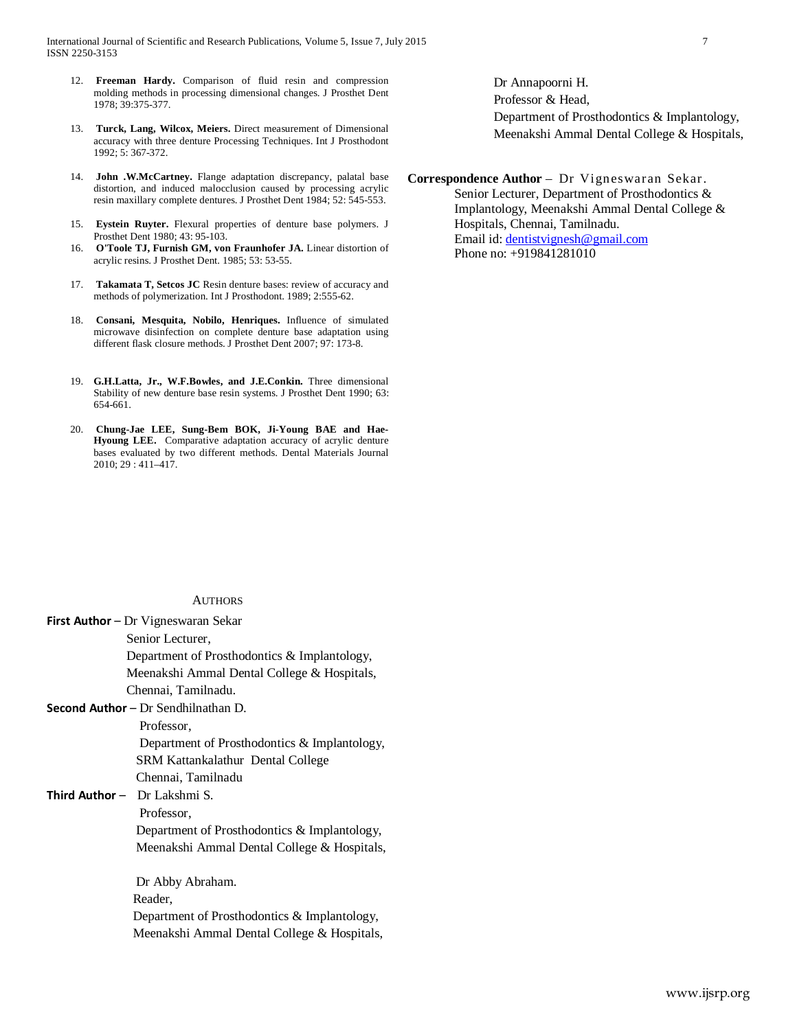- 12. **Freeman Hardy.** Comparison of fluid resin and compression molding methods in processing dimensional changes. J Prosthet Dent 1978; 39:375-377.
- 13. **Turck, Lang, Wilcox, Meiers.** Direct measurement of Dimensional accuracy with three denture Processing Techniques. Int J Prosthodont 1992; 5: 367-372.
- 14. **John .W.McCartney.** Flange adaptation discrepancy, palatal base distortion, and induced malocclusion caused by processing acrylic resin maxillary complete dentures. J Prosthet Dent 1984; 52: 545-553.
- 15. **Eystein Ruyter.** Flexural properties of denture base polymers. J Prosthet Dent 1980; 43: 95-103.
- 16. **O'Toole TJ, Furnish GM, von Fraunhofer JA.** Linear distortion of acrylic resins. J Prosthet Dent. 1985; 53: 53-55.
- 17. **Takamata T, Setcos JC** Resin denture bases: review of accuracy and methods of polymerization. Int J Prosthodont. 1989; 2:555-62.
- 18. **Consani, Mesquita, Nobilo, Henriques.** Influence of simulated microwave disinfection on complete denture base adaptation using different flask closure methods. J Prosthet Dent 2007; 97: 173-8.
- 19. **G.H.Latta, Jr., W.F.Bowles, and J.E.Conkin.** Three dimensional Stability of new denture base resin systems. J Prosthet Dent 1990; 63: 654-661.
- 20. **Chung-Jae LEE, Sung-Bem BOK, Ji-Young BAE and Hae-Hyoung LEE.** Comparative adaptation accuracy of acrylic denture bases evaluated by two different methods. Dental Materials Journal 2010; 29 : 411–417.

# Dr Annapoorni H. Professor & Head, Department of Prosthodontics & Implantology, Meenakshi Ammal Dental College & Hospitals,

**Correspondence Author** – Dr Vigneswaran Sekar. Senior Lecturer, Department of Prosthodontics & Implantology, Meenakshi Ammal Dental College & Hospitals, Chennai, Tamilnadu. Email id[: dentistvignesh@gmail.com](mailto:dentistvignesh@gmail.com) Phone no: +919841281010

### **AUTHORS**

| First Author - Dr Vigneswaran Sekar          |
|----------------------------------------------|
| Senior Lecturer,                             |
| Department of Prosthodontics & Implantology, |
| Meenakshi Ammal Dental College & Hospitals,  |
| Chennai, Tamilnadu.                          |
| <b>Second Author</b> – Dr Sendhilnathan D.   |
| Professor,                                   |
| Department of Prosthodontics & Implantology, |
| SRM Kattankalathur Dental College            |
| Chennai, Tamilnadu                           |
| <b>Third Author -</b> Dr Lakshmi S.          |
| Professor,                                   |
| Department of Prosthodontics & Implantology, |
| Meenakshi Ammal Dental College & Hospitals,  |
| Dr Abby Abraham.                             |
| Reader.                                      |
| Department of Prosthodontics & Implantology, |
| Meenakshi Ammal Dental College & Hospitals,  |
|                                              |